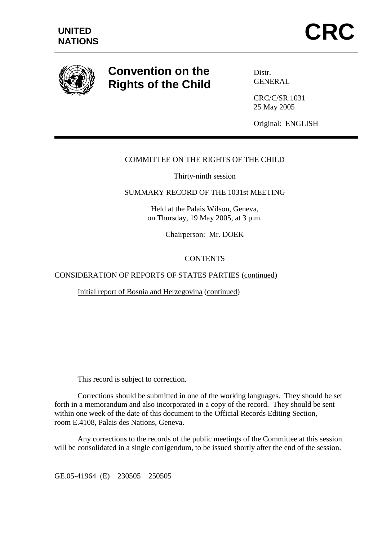

 $\overline{a}$ 

# **Convention on the Rights of the Child**

Distr. **GENERAL** 

CRC/C/SR.1031 25 May 2005

Original: ENGLISH

## COMMITTEE ON THE RIGHTS OF THE CHILD

Thirty-ninth session

## SUMMARY RECORD OF THE 1031st MEETING

Held at the Palais Wilson, Geneva, on Thursday, 19 May 2005, at 3 p.m.

Chairperson: Mr. DOEK

## CONTENTS

CONSIDERATION OF REPORTS OF STATES PARTIES (continued)

Initial report of Bosnia and Herzegovina (continued)

This record is subject to correction.

 Corrections should be submitted in one of the working languages. They should be set forth in a memorandum and also incorporated in a copy of the record. They should be sent within one week of the date of this document to the Official Records Editing Section, room E.4108, Palais des Nations, Geneva.

 Any corrections to the records of the public meetings of the Committee at this session will be consolidated in a single corrigendum, to be issued shortly after the end of the session.

GE.05-41964 (E) 230505 250505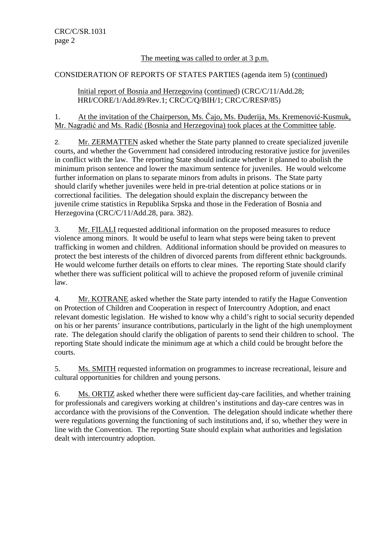## The meeting was called to order at 3 p.m.

## CONSIDERATION OF REPORTS OF STATES PARTIES (agenda item 5) (continued)

 Initial report of Bosnia and Herzegovina (continued) (CRC/C/11/Add.28; HRI/CORE/1/Add.89/Rev.1; CRC/C/Q/BIH/1; CRC/C/RESP/85)

1. At the invitation of the Chairperson, Ms. Čajo, Ms. Đuderija, Ms. Kremenović-Kusmuk, Mr. Nagradić and Ms. Radić (Bosnia and Herzegovina) took places at the Committee table.

2. Mr. ZERMATTEN asked whether the State party planned to create specialized juvenile courts, and whether the Government had considered introducing restorative justice for juveniles in conflict with the law. The reporting State should indicate whether it planned to abolish the minimum prison sentence and lower the maximum sentence for juveniles. He would welcome further information on plans to separate minors from adults in prisons. The State party should clarify whether juveniles were held in pre-trial detention at police stations or in correctional facilities. The delegation should explain the discrepancy between the juvenile crime statistics in Republika Srpska and those in the Federation of Bosnia and Herzegovina (CRC/C/11/Add.28, para. 382).

3. Mr. FILALI requested additional information on the proposed measures to reduce violence among minors. It would be useful to learn what steps were being taken to prevent trafficking in women and children. Additional information should be provided on measures to protect the best interests of the children of divorced parents from different ethnic backgrounds. He would welcome further details on efforts to clear mines. The reporting State should clarify whether there was sufficient political will to achieve the proposed reform of juvenile criminal law.

4. Mr. KOTRANE asked whether the State party intended to ratify the Hague Convention on Protection of Children and Cooperation in respect of Intercountry Adoption, and enact relevant domestic legislation. He wished to know why a child's right to social security depended on his or her parents' insurance contributions, particularly in the light of the high unemployment rate. The delegation should clarify the obligation of parents to send their children to school. The reporting State should indicate the minimum age at which a child could be brought before the courts.

5. Ms. SMITH requested information on programmes to increase recreational, leisure and cultural opportunities for children and young persons.

6. Ms. ORTIZ asked whether there were sufficient day-care facilities, and whether training for professionals and caregivers working at children's institutions and day-care centres was in accordance with the provisions of the Convention. The delegation should indicate whether there were regulations governing the functioning of such institutions and, if so, whether they were in line with the Convention. The reporting State should explain what authorities and legislation dealt with intercountry adoption.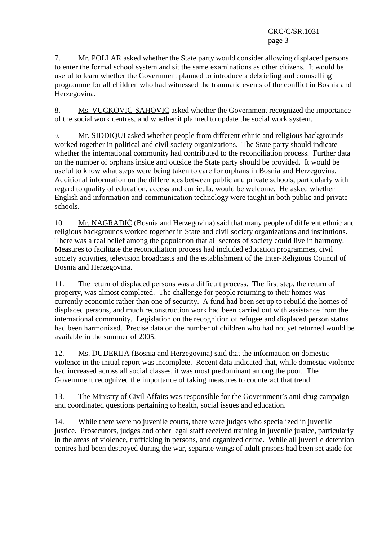7. Mr. POLLAR asked whether the State party would consider allowing displaced persons to enter the formal school system and sit the same examinations as other citizens. It would be useful to learn whether the Government planned to introduce a debriefing and counselling programme for all children who had witnessed the traumatic events of the conflict in Bosnia and Herzegovina.

8. Ms. VUCKOVIC-SAHOVIC asked whether the Government recognized the importance of the social work centres, and whether it planned to update the social work system.

9. Mr. SIDDIQUI asked whether people from different ethnic and religious backgrounds worked together in political and civil society organizations. The State party should indicate whether the international community had contributed to the reconciliation process. Further data on the number of orphans inside and outside the State party should be provided. It would be useful to know what steps were being taken to care for orphans in Bosnia and Herzegovina. Additional information on the differences between public and private schools, particularly with regard to quality of education, access and curricula, would be welcome. He asked whether English and information and communication technology were taught in both public and private schools.

10. Mr. NAGRADIĆ (Bosnia and Herzegovina) said that many people of different ethnic and religious backgrounds worked together in State and civil society organizations and institutions. There was a real belief among the population that all sectors of society could live in harmony. Measures to facilitate the reconciliation process had included education programmes, civil society activities, television broadcasts and the establishment of the Inter-Religious Council of Bosnia and Herzegovina.

11. The return of displaced persons was a difficult process. The first step, the return of property, was almost completed. The challenge for people returning to their homes was currently economic rather than one of security. A fund had been set up to rebuild the homes of displaced persons, and much reconstruction work had been carried out with assistance from the international community. Legislation on the recognition of refugee and displaced person status had been harmonized. Precise data on the number of children who had not yet returned would be available in the summer of 2005.

12. Ms. ĐUDERIJA (Bosnia and Herzegovina) said that the information on domestic violence in the initial report was incomplete. Recent data indicated that, while domestic violence had increased across all social classes, it was most predominant among the poor. The Government recognized the importance of taking measures to counteract that trend.

13. The Ministry of Civil Affairs was responsible for the Government's anti-drug campaign and coordinated questions pertaining to health, social issues and education.

14. While there were no juvenile courts, there were judges who specialized in juvenile justice. Prosecutors, judges and other legal staff received training in juvenile justice, particularly in the areas of violence, trafficking in persons, and organized crime. While all juvenile detention centres had been destroyed during the war, separate wings of adult prisons had been set aside for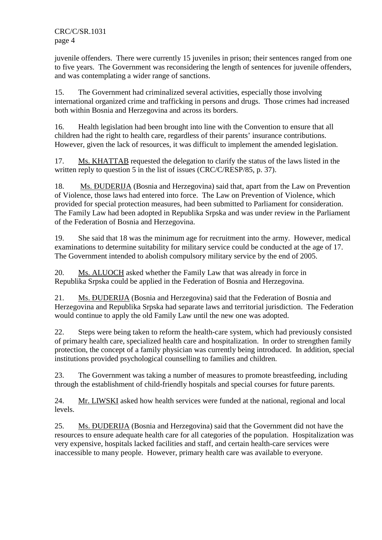juvenile offenders. There were currently 15 juveniles in prison; their sentences ranged from one to five years. The Government was reconsidering the length of sentences for juvenile offenders, and was contemplating a wider range of sanctions.

15. The Government had criminalized several activities, especially those involving international organized crime and trafficking in persons and drugs. Those crimes had increased both within Bosnia and Herzegovina and across its borders.

16. Health legislation had been brought into line with the Convention to ensure that all children had the right to health care, regardless of their parents' insurance contributions. However, given the lack of resources, it was difficult to implement the amended legislation.

17. Ms. KHATTAB requested the delegation to clarify the status of the laws listed in the written reply to question 5 in the list of issues (CRC/C/RESP/85, p. 37).

18. Ms. ĐUDERIJA (Bosnia and Herzegovina) said that, apart from the Law on Prevention of Violence, those laws had entered into force. The Law on Prevention of Violence, which provided for special protection measures, had been submitted to Parliament for consideration. The Family Law had been adopted in Republika Srpska and was under review in the Parliament of the Federation of Bosnia and Herzegovina.

19. She said that 18 was the minimum age for recruitment into the army. However, medical examinations to determine suitability for military service could be conducted at the age of 17. The Government intended to abolish compulsory military service by the end of 2005.

20. Ms. ALUOCH asked whether the Family Law that was already in force in Republika Srpska could be applied in the Federation of Bosnia and Herzegovina.

21. Ms. ĐUDERIJA (Bosnia and Herzegovina) said that the Federation of Bosnia and Herzegovina and Republika Srpska had separate laws and territorial jurisdiction. The Federation would continue to apply the old Family Law until the new one was adopted.

22. Steps were being taken to reform the health-care system, which had previously consisted of primary health care, specialized health care and hospitalization. In order to strengthen family protection, the concept of a family physician was currently being introduced. In addition, special institutions provided psychological counselling to families and children.

23. The Government was taking a number of measures to promote breastfeeding, including through the establishment of child-friendly hospitals and special courses for future parents.

24. Mr. LIWSKI asked how health services were funded at the national, regional and local levels.

25. Ms. ĐUDERIJA (Bosnia and Herzegovina) said that the Government did not have the resources to ensure adequate health care for all categories of the population. Hospitalization was very expensive, hospitals lacked facilities and staff, and certain health-care services were inaccessible to many people. However, primary health care was available to everyone.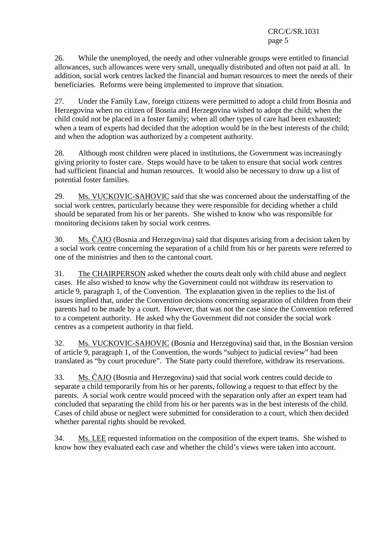26. While the unemployed, the needy and other vulnerable groups were entitled to financial allowances, such allowances were very small, unequally distributed and often not paid at all. In addition, social work centres lacked the financial and human resources to meet the needs of their beneficiaries. Reforms were being implemented to improve that situation.

27. Under the Family Law, foreign citizens were permitted to adopt a child from Bosnia and Herzegovina when no citizen of Bosnia and Herzegovina wished to adopt the child; when the child could not be placed in a foster family; when all other types of care had been exhausted; when a team of experts had decided that the adoption would be in the best interests of the child; and when the adoption was authorized by a competent authority.

28. Although most children were placed in institutions, the Government was increasingly giving priority to foster care. Steps would have to be taken to ensure that social work centres had sufficient financial and human resources. It would also be necessary to draw up a list of potential foster families.

29. Ms. VUCKOVIC-SAHOVIC said that she was concerned about the understaffing of the social work centres, particularly because they were responsible for deciding whether a child should be separated from his or her parents. She wished to know who was responsible for monitoring decisions taken by social work centres.

30. Ms. ČAJO (Bosnia and Herzegovina) said that disputes arising from a decision taken by a social work centre concerning the separation of a child from his or her parents were referred to one of the ministries and then to the cantonal court.

31. The CHAIRPERSON asked whether the courts dealt only with child abuse and neglect cases. He also wished to know why the Government could not withdraw its reservation to article 9, paragraph 1, of the Convention. The explanation given in the replies to the list of issues implied that, under the Convention decisions concerning separation of children from their parents had to be made by a court. However, that was not the case since the Convention referred to a competent authority. He asked why the Government did not consider the social work centres as a competent authority in that field.

32. Ms. VUCKOVIC-SAHOVIC (Bosnia and Herzegovina) said that, in the Bosnian version of article 9, paragraph 1, of the Convention, the words "subject to judicial review" had been translated as "by court procedure". The State party could therefore, withdraw its reservations.

33. Ms. ČAJO (Bosnia and Herzegovina) said that social work centres could decide to separate a child temporarily from his or her parents, following a request to that effect by the parents. A social work centre would proceed with the separation only after an expert team had concluded that separating the child from his or her parents was in the best interests of the child. Cases of child abuse or neglect were submitted for consideration to a court, which then decided whether parental rights should be revoked.

34. Ms. LEE requested information on the composition of the expert teams. She wished to know how they evaluated each case and whether the child's views were taken into account.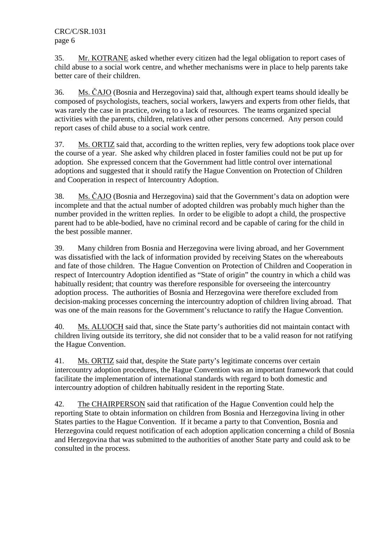35. Mr. KOTRANE asked whether every citizen had the legal obligation to report cases of child abuse to a social work centre, and whether mechanisms were in place to help parents take better care of their children.

36. Ms. ČAJO (Bosnia and Herzegovina) said that, although expert teams should ideally be composed of psychologists, teachers, social workers, lawyers and experts from other fields, that was rarely the case in practice, owing to a lack of resources. The teams organized special activities with the parents, children, relatives and other persons concerned. Any person could report cases of child abuse to a social work centre.

37. Ms. ORTIZ said that, according to the written replies, very few adoptions took place over the course of a year. She asked why children placed in foster families could not be put up for adoption. She expressed concern that the Government had little control over international adoptions and suggested that it should ratify the Hague Convention on Protection of Children and Cooperation in respect of Intercountry Adoption.

38. Ms. ČAJO (Bosnia and Herzegovina) said that the Government's data on adoption were incomplete and that the actual number of adopted children was probably much higher than the number provided in the written replies. In order to be eligible to adopt a child, the prospective parent had to be able-bodied, have no criminal record and be capable of caring for the child in the best possible manner.

39. Many children from Bosnia and Herzegovina were living abroad, and her Government was dissatisfied with the lack of information provided by receiving States on the whereabouts and fate of those children. The Hague Convention on Protection of Children and Cooperation in respect of Intercountry Adoption identified as "State of origin" the country in which a child was habitually resident; that country was therefore responsible for overseeing the intercountry adoption process. The authorities of Bosnia and Herzegovina were therefore excluded from decision-making processes concerning the intercountry adoption of children living abroad. That was one of the main reasons for the Government's reluctance to ratify the Hague Convention.

40. Ms. ALUOCH said that, since the State party's authorities did not maintain contact with children living outside its territory, she did not consider that to be a valid reason for not ratifying the Hague Convention.

41. Ms. ORTIZ said that, despite the State party's legitimate concerns over certain intercountry adoption procedures, the Hague Convention was an important framework that could facilitate the implementation of international standards with regard to both domestic and intercountry adoption of children habitually resident in the reporting State.

42. The CHAIRPERSON said that ratification of the Hague Convention could help the reporting State to obtain information on children from Bosnia and Herzegovina living in other States parties to the Hague Convention. If it became a party to that Convention, Bosnia and Herzegovina could request notification of each adoption application concerning a child of Bosnia and Herzegovina that was submitted to the authorities of another State party and could ask to be consulted in the process.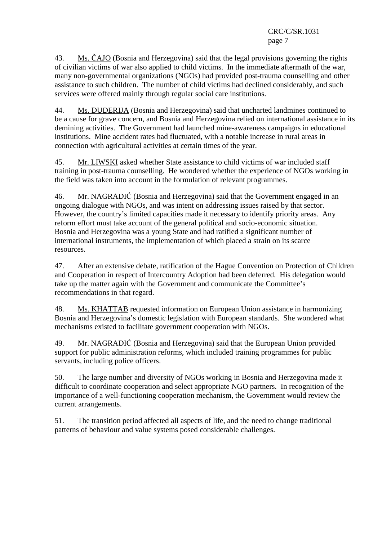43. Ms. ČAJO (Bosnia and Herzegovina) said that the legal provisions governing the rights of civilian victims of war also applied to child victims. In the immediate aftermath of the war, many non-governmental organizations (NGOs) had provided post-trauma counselling and other assistance to such children. The number of child victims had declined considerably, and such services were offered mainly through regular social care institutions.

44. Ms. ĐUDERIJA (Bosnia and Herzegovina) said that uncharted landmines continued to be a cause for grave concern, and Bosnia and Herzegovina relied on international assistance in its demining activities. The Government had launched mine-awareness campaigns in educational institutions. Mine accident rates had fluctuated, with a notable increase in rural areas in connection with agricultural activities at certain times of the year.

45. Mr. LIWSKI asked whether State assistance to child victims of war included staff training in post-trauma counselling. He wondered whether the experience of NGOs working in the field was taken into account in the formulation of relevant programmes.

46. Mr. NAGRADIĆ (Bosnia and Herzegovina) said that the Government engaged in an ongoing dialogue with NGOs, and was intent on addressing issues raised by that sector. However, the country's limited capacities made it necessary to identify priority areas. Any reform effort must take account of the general political and socio-economic situation. Bosnia and Herzegovina was a young State and had ratified a significant number of international instruments, the implementation of which placed a strain on its scarce resources.

47. After an extensive debate, ratification of the Hague Convention on Protection of Children and Cooperation in respect of Intercountry Adoption had been deferred. His delegation would take up the matter again with the Government and communicate the Committee's recommendations in that regard.

48. Ms. KHATTAB requested information on European Union assistance in harmonizing Bosnia and Herzegovina's domestic legislation with European standards. She wondered what mechanisms existed to facilitate government cooperation with NGOs.

49. Mr. NAGRADIĆ (Bosnia and Herzegovina) said that the European Union provided support for public administration reforms, which included training programmes for public servants, including police officers.

50. The large number and diversity of NGOs working in Bosnia and Herzegovina made it difficult to coordinate cooperation and select appropriate NGO partners. In recognition of the importance of a well-functioning cooperation mechanism, the Government would review the current arrangements.

51. The transition period affected all aspects of life, and the need to change traditional patterns of behaviour and value systems posed considerable challenges.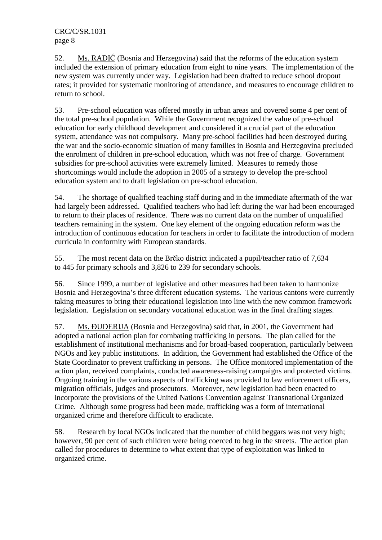52. Ms. RADIĆ (Bosnia and Herzegovina) said that the reforms of the education system included the extension of primary education from eight to nine years. The implementation of the new system was currently under way. Legislation had been drafted to reduce school dropout rates; it provided for systematic monitoring of attendance, and measures to encourage children to return to school.

53. Pre-school education was offered mostly in urban areas and covered some 4 per cent of the total pre-school population. While the Government recognized the value of pre-school education for early childhood development and considered it a crucial part of the education system, attendance was not compulsory. Many pre-school facilities had been destroyed during the war and the socio-economic situation of many families in Bosnia and Herzegovina precluded the enrolment of children in pre-school education, which was not free of charge. Government subsidies for pre-school activities were extremely limited. Measures to remedy those shortcomings would include the adoption in 2005 of a strategy to develop the pre-school education system and to draft legislation on pre-school education.

54. The shortage of qualified teaching staff during and in the immediate aftermath of the war had largely been addressed. Qualified teachers who had left during the war had been encouraged to return to their places of residence. There was no current data on the number of unqualified teachers remaining in the system. One key element of the ongoing education reform was the introduction of continuous education for teachers in order to facilitate the introduction of modern curricula in conformity with European standards.

55. The most recent data on the Brčko district indicated a pupil/teacher ratio of 7,634 to 445 for primary schools and 3,826 to 239 for secondary schools.

56. Since 1999, a number of legislative and other measures had been taken to harmonize Bosnia and Herzegovina's three different education systems. The various cantons were currently taking measures to bring their educational legislation into line with the new common framework legislation. Legislation on secondary vocational education was in the final drafting stages.

57. Ms. ÐUDERIJA (Bosnia and Herzegovina) said that, in 2001, the Government had adopted a national action plan for combating trafficking in persons. The plan called for the establishment of institutional mechanisms and for broad-based cooperation, particularly between NGOs and key public institutions. In addition, the Government had established the Office of the State Coordinator to prevent trafficking in persons. The Office monitored implementation of the action plan, received complaints, conducted awareness-raising campaigns and protected victims. Ongoing training in the various aspects of trafficking was provided to law enforcement officers, migration officials, judges and prosecutors. Moreover, new legislation had been enacted to incorporate the provisions of the United Nations Convention against Transnational Organized Crime. Although some progress had been made, trafficking was a form of international organized crime and therefore difficult to eradicate.

58. Research by local NGOs indicated that the number of child beggars was not very high; however, 90 per cent of such children were being coerced to beg in the streets. The action plan called for procedures to determine to what extent that type of exploitation was linked to organized crime.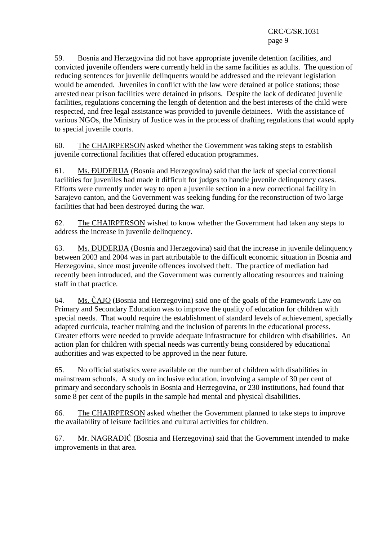59. Bosnia and Herzegovina did not have appropriate juvenile detention facilities, and convicted juvenile offenders were currently held in the same facilities as adults. The question of reducing sentences for juvenile delinquents would be addressed and the relevant legislation would be amended. Juveniles in conflict with the law were detained at police stations; those arrested near prison facilities were detained in prisons. Despite the lack of dedicated juvenile facilities, regulations concerning the length of detention and the best interests of the child were respected, and free legal assistance was provided to juvenile detainees. With the assistance of various NGOs, the Ministry of Justice was in the process of drafting regulations that would apply to special juvenile courts.

60. The CHAIRPERSON asked whether the Government was taking steps to establish juvenile correctional facilities that offered education programmes.

61. Ms. ÐUDERIJA (Bosnia and Herzegovina) said that the lack of special correctional facilities for juveniles had made it difficult for judges to handle juvenile delinquency cases. Efforts were currently under way to open a juvenile section in a new correctional facility in Sarajevo canton, and the Government was seeking funding for the reconstruction of two large facilities that had been destroyed during the war.

62. The CHAIRPERSON wished to know whether the Government had taken any steps to address the increase in juvenile delinquency.

63. Ms. ÐUDERIJA (Bosnia and Herzegovina) said that the increase in juvenile delinquency between 2003 and 2004 was in part attributable to the difficult economic situation in Bosnia and Herzegovina, since most juvenile offences involved theft. The practice of mediation had recently been introduced, and the Government was currently allocating resources and training staff in that practice.

64. Ms. ČAJO (Bosnia and Herzegovina) said one of the goals of the Framework Law on Primary and Secondary Education was to improve the quality of education for children with special needs. That would require the establishment of standard levels of achievement, specially adapted curricula, teacher training and the inclusion of parents in the educational process. Greater efforts were needed to provide adequate infrastructure for children with disabilities. An action plan for children with special needs was currently being considered by educational authorities and was expected to be approved in the near future.

65. No official statistics were available on the number of children with disabilities in mainstream schools. A study on inclusive education, involving a sample of 30 per cent of primary and secondary schools in Bosnia and Herzegovina, or 230 institutions, had found that some 8 per cent of the pupils in the sample had mental and physical disabilities.

66. The CHAIRPERSON asked whether the Government planned to take steps to improve the availability of leisure facilities and cultural activities for children.

67. Mr. NAGRADIĆ (Bosnia and Herzegovina) said that the Government intended to make improvements in that area.